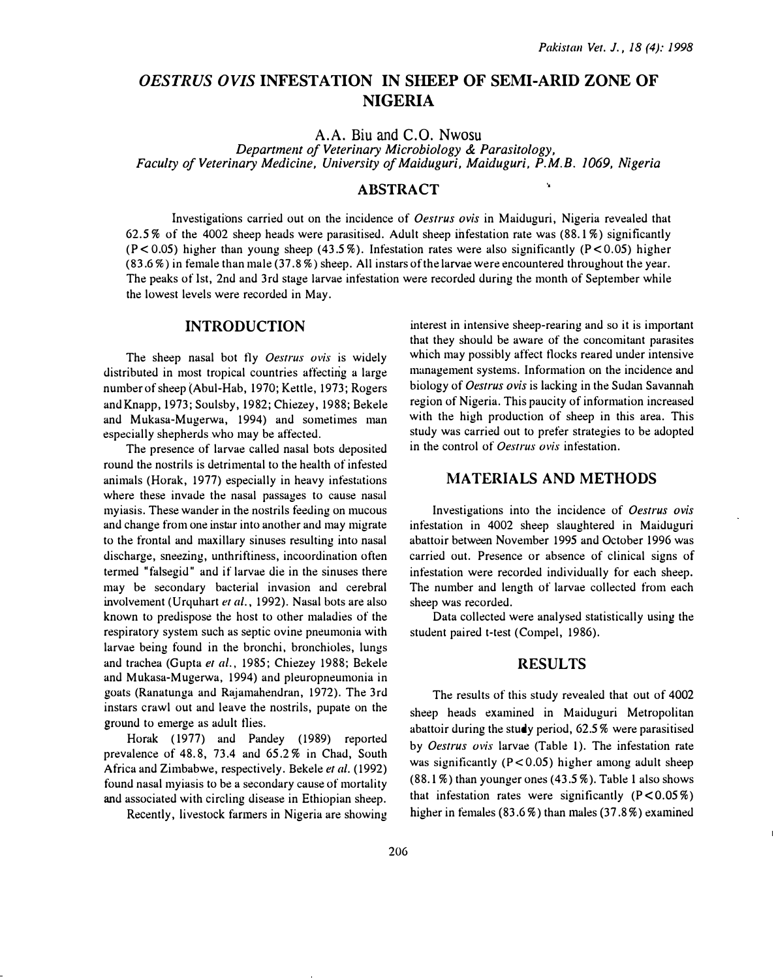# OESTRUS OVIS INFESTATION IN SIIEEP OF SEMI-ARID ZONE OF NIGERIA

A.A. Biu and C.O. Nwosu

Department of Veterinary Microbiology & Parasitology, Faculty of Veterinary Medicine, University of Maiduguri, Maiduguri, P.M. B. 1069, Nigeria

## **ABSTRACT**

Investigations carried out on the incidence of *Oestrus ovis* in Maiduguri, Nigeria revealed that 62.5% of the 4002 sheep heads were parasitised. Adult sheep infestation rate was (88. 1%) significantly  $(P < 0.05)$  higher than young sheep (43.5%). Infestation rates were also significantly  $(P < 0.05)$  higher (83. 6%) in female than male (3 7. 8%) sheep. All ins tars of the larvae were encountered throughout the year. The peaks of 1st, 2nd and 3rd stage larvae infestation were recorded during the month of September while the lowest levels were recorded in May.

### INTRODUCTION

The sheep nasal bot fly Oestrus ovis is widely distributed in most tropical countries affecting a large number of sheep (Abul-Hab, 1970; Kettle, 1973; Rogers and Knapp, 1973; Soulsby, 1982; Chiezey, 1988; Bekele and Mukasa-Mugerwa, 1994) and sometimes man especially shepherds who may be affected.

The presence of larvae called nasal hots deposited round the nostrils is detrimental to the health of infested animals (Horak, 1977) especially in heavy infestations where these invade the nasal passages to cause nasal myiasis. These wander in the nostrils feeding on mucous and change from one instar into another and may migrate to the frontal and maxillary sinuses resulting into nasal discharge, sneezing, unthriftiness, incoordination often termed "falsegid" and if larvae die in the sinuses there may be secondary bacterial invasion and cerebral involvement (Urquhart et al., 1992). Nasal bots are also known to predispose the host to other maladies of the respiratory system such as septic ovine pneumonia with larvae being found in the bronchi, bronchioles, lungs and trachea (Gupta er al., 1985; Chiezey 1988; Bekele and Mukasa-Mugerwa, 1994) and pleuropneumonia in goats (Ranatunga and R�jamahendran, 1972). The 3rd instars crawl out and leave the nostrils, pupate on the ground to emerge as adult flies.

Horak ( 1977) and Pandey (1989) reported prevalence of 48.8, 73.4 and 65.2% in Chad, South Africa and Zimbabwe, respectively. Bekele et al. (1992) found nasal myiasis to be a secondary cause of mortality and associated with circling disease in Ethiopian sheep.

Recently, livestock fanners in Nigeria are showing

interest in intensive sheep-rearing and so it is important that they should be aware of the concomitant parasites which may possibly affect flocks reared under intensive management systems. Information on the incidence and biology of Oestrus ovis is lacking in the Sudan Savannah region of Nigeria. This paucity of information increased with the high production of sheep in this area. This study was carried out to prefer strategies to be adopted in the control of Oestrus ovis infestation.

 $\mathbf{v}$ 

### MATERIALS AND METHODS

Investigations into the incidence of Oestrus ovis infestation in 4002 sheep slaughtered in Maiduguri abattoir between November 1995 and October 1996 was carried out. Presence or absence of clinical signs of infestation were recorded individually for each sheep. The number and length of larvae collected from each sheep was recorded.

Data collected were analysed statistically using the student paired t-test (Compel, 1986).

#### RESULTS

The results of this study revealed that out of 4002 sheep heads examined in Maiduguri Metropolitan abattoir during the study period, 62.5% were parasitised by Oestrus ovis larvae (Table 1). The infestation rate was significantly  $(P < 0.05)$  higher among adult sheep  $(88.1\%)$  than younger ones  $(43.5\%)$ . Table 1 also shows that infestation rates were significantly  $(P < 0.05\%)$ higher in females (83.6%) than males (37 .8%) examined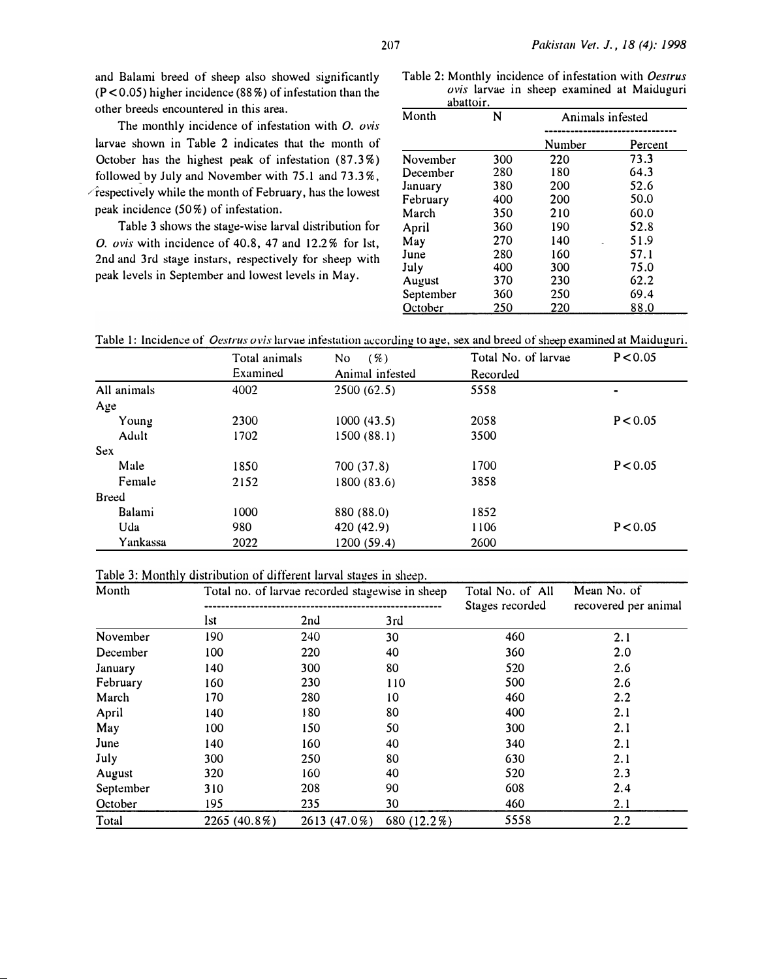and Balami breed of sheep also showed significantly  $(P<0.05)$  higher incidence (88%) of infestation than the other breeds encountered in this area.

The monthly incidence of infestation with O. ovis larvae shown in Table 2 indicates that the month of October has the highest peak of infestation (87.3%) followed by July and November with 75.1 and 73.3%,  $\sqrt{r}$ espectively while the month of February, has the lowest peak incidence (50%) of infestation.

Table 3 shows the stage-wise larval distribution for 0. ovis with incidence of 40.8, 47 and 12.2% for 1st, 2nd and 3rd stage instars, respectively for sheep with peak levels in September and lowest levels in May.

Table 2: Monthly incidence of infestation with Oestrus ovis larvae in sheep examined at Maiduguri abattoir.

| Month     | N   | Animals infested |         |  |
|-----------|-----|------------------|---------|--|
|           |     | Number           | Percent |  |
| November  | 300 | 220              | 73.3    |  |
| December  | 280 | 180              | 64.3    |  |
| January   | 380 | 200              | 52.6    |  |
| February  | 400 | 200              | 50.0    |  |
| March     | 350 | 210              | 60.0    |  |
| April     | 360 | 190              | 52.8    |  |
| May       | 270 | 140              | 51.9    |  |
| June      | 280 | 160              | 57.1    |  |
| July      | 400 | 300              | 75.0    |  |
| August    | 370 | 230              | 62.2    |  |
| September | 360 | 250              | 69.4    |  |
| October   | 250 | 220              | 88.0    |  |

Table 1: Incidence of *Oestrus ovis* larvae infestation according to age, sex and breed of sheep examined at Maiduguri.

|             | Total animals | ( %)<br>No      | Total No. of larvae | P < 0.05 |
|-------------|---------------|-----------------|---------------------|----------|
|             | Examined      | Animal infested | Recorded            |          |
| All animals | 4002          | 2500(62.5)      | 5558                |          |
| Age         |               |                 |                     |          |
| Young       | 2300          | 1000(43.5)      | 2058                | P < 0.05 |
| Adult       | 1702          | 1500 (88.1)     | 3500                |          |
| Sex         |               |                 |                     |          |
| Male        | 1850          | 700 (37.8)      | 1700                | P < 0.05 |
| Female      | 2152          | 1800 (83.6)     | 3858                |          |
| Breed       |               |                 |                     |          |
| Balami      | 1000          | 880 (88.0)      | 1852                |          |
| Uda         | 980           | 420 (42.9)      | 1106                | P < 0.05 |
| Yankassa    | 2022          | 1200 (59.4)     | 2600                |          |

#### Table 3: Monthly distribution of different larval stages in sheep.

| Month     | Total no. of larvae recorded stagewise in sheep |              |             | Total No. of All<br>Stages recorded | Mean No. of<br>recovered per animal |
|-----------|-------------------------------------------------|--------------|-------------|-------------------------------------|-------------------------------------|
|           | Ist                                             | 2nd          | 3rd         |                                     |                                     |
| November  | 190                                             | 240          | 30          | 460                                 | 2.1                                 |
| December  | 100                                             | 220          | 40          | 360                                 | 2.0                                 |
| January   | 140                                             | 300          | 80          | 520                                 | 2.6                                 |
| February  | 160                                             | 230          | 110         | 500                                 | 2.6                                 |
| March     | 170                                             | 280          | 10          | 460                                 | 2.2                                 |
| April     | 140                                             | 180          | 80          | 400                                 | 2.1                                 |
| May       | 100                                             | 150          | 50          | 300                                 | 2.1                                 |
| June      | 140                                             | 160          | 40          | 340                                 | 2.1                                 |
| July      | 300                                             | 250          | 80          | 630                                 | 2.1                                 |
| August    | 320                                             | 160          | 40          | 520                                 | 2.3                                 |
| September | 310                                             | 208          | 90          | 608                                 | 2.4                                 |
| October   | 195                                             | 235          | 30          | 460                                 | 2.1                                 |
| Total     | $2265(40.8\%)$                                  | 2613 (47.0%) | 680 (12.2%) | 5558                                | 2.2                                 |